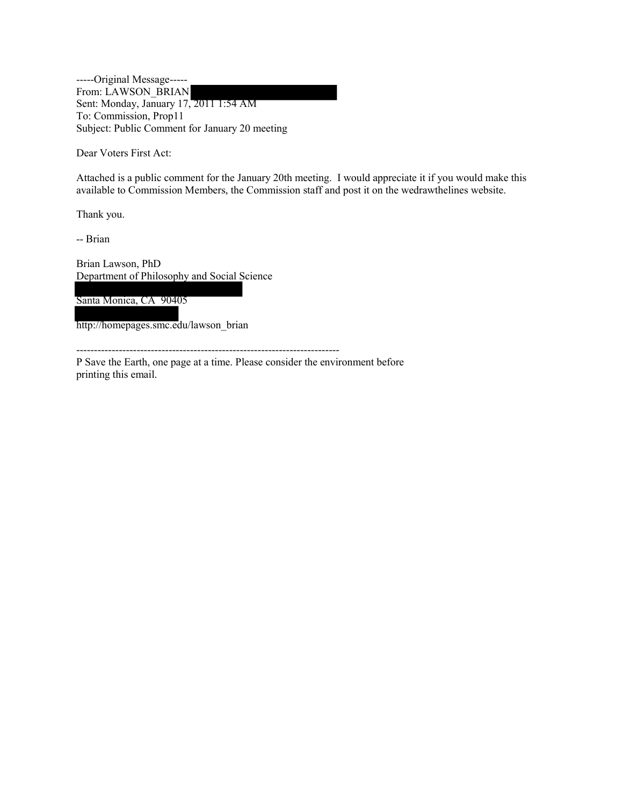-----Original Message----- From: LAWSON\_BRIAN Sent: Monday, January 17, 2011 1:54 AM To: Commission, Prop11 Subject: Public Comment for January 20 meeting

Dear Voters First Act:

Attached is a public comment for the January 20th meeting. I would appreciate it if you would make this available to Commission Members, the Commission staff and post it on the wedrawthelines website.

Thank you.

-- Brian

Brian Lawson, PhD Department of Philosophy and Social Science

Santa Monica, CA 90405

http://homepages.smc.edu/lawson\_brian

--------------------------------------------------------------------------

P Save the Earth, one page at a time. Please consider the environment before printing this email.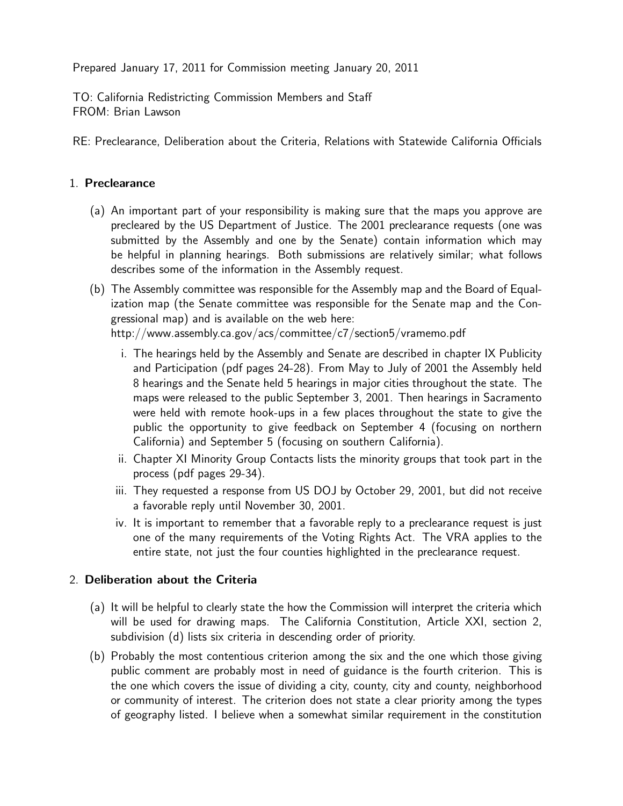Prepared January 17, 2011 for Commission meeting January 20, 2011

TO: California Redistricting Commission Members and Staff FROM: Brian Lawson

RE: Preclearance, Deliberation about the Criteria, Relations with Statewide California Officials

## 1. Preclearance

- (a) An important part of your responsibility is making sure that the maps you approve are precleared by the US Department of Justice. The 2001 preclearance requests (one was submitted by the Assembly and one by the Senate) contain information which may be helpful in planning hearings. Both submissions are relatively similar; what follows describes some of the information in the Assembly request.
- (b) The Assembly committee was responsible for the Assembly map and the Board of Equalization map (the Senate committee was responsible for the Senate map and the Congressional map) and is available on the web here:

http://www.assembly.ca.gov/acs/committee/c7/section5/vramemo.pdf

- i. The hearings held by the Assembly and Senate are described in chapter IX Publicity and Participation (pdf pages 24-28). From May to July of 2001 the Assembly held 8 hearings and the Senate held 5 hearings in major cities throughout the state. The maps were released to the public September 3, 2001. Then hearings in Sacramento were held with remote hook-ups in a few places throughout the state to give the public the opportunity to give feedback on September 4 (focusing on northern California) and September 5 (focusing on southern California).
- ii. Chapter XI Minority Group Contacts lists the minority groups that took part in the process (pdf pages 29-34).
- iii. They requested a response from US DOJ by October 29, 2001, but did not receive a favorable reply until November 30, 2001.
- iv. It is important to remember that a favorable reply to a preclearance request is just one of the many requirements of the Voting Rights Act. The VRA applies to the entire state, not just the four counties highlighted in the preclearance request.

## 2. Deliberation about the Criteria

- (a) It will be helpful to clearly state the how the Commission will interpret the criteria which will be used for drawing maps. The California Constitution, Article XXI, section 2, subdivision (d) lists six criteria in descending order of priority.
- (b) Probably the most contentious criterion among the six and the one which those giving public comment are probably most in need of guidance is the fourth criterion. This is the one which covers the issue of dividing a city, county, city and county, neighborhood or community of interest. The criterion does not state a clear priority among the types of geography listed. I believe when a somewhat similar requirement in the constitution